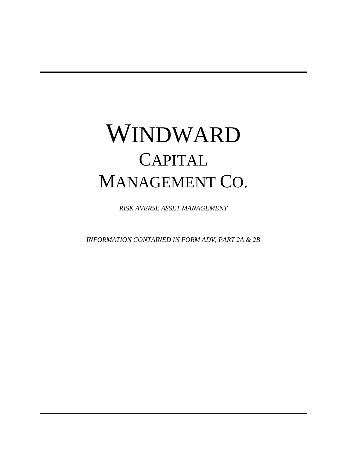# WINDWARD **CAPITAL** MANAGEMENT CO.

*RISK AVERSE ASSET MANAGEMENT*

*INFORMATION CONTAINED IN FORM ADV, PART 2A & 2B*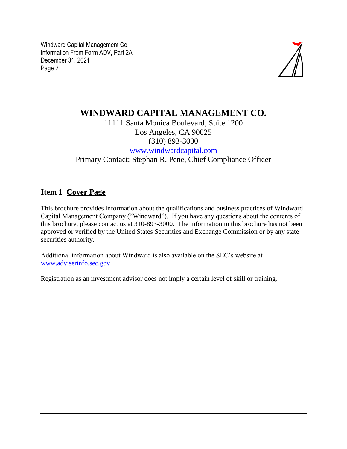

## **WINDWARD CAPITAL MANAGEMENT CO.**

11111 Santa Monica Boulevard, Suite 1200 Los Angeles, CA 90025 (310) 893-3000 [www.windwardcapital.com](http://www.windwardcapital.com/) Primary Contact: Stephan R. Pene, Chief Compliance Officer

#### **Item 1 Cover Page**

This brochure provides information about the qualifications and business practices of Windward Capital Management Company ("Windward"). If you have any questions about the contents of this brochure, please contact us at 310-893-3000. The information in this brochure has not been approved or verified by the United States Securities and Exchange Commission or by any state securities authority.

Additional information about Windward is also available on the SEC's website at [www.adviserinfo.sec.gov.](http://www.adviserinfo.sec.gov/)

Registration as an investment advisor does not imply a certain level of skill or training.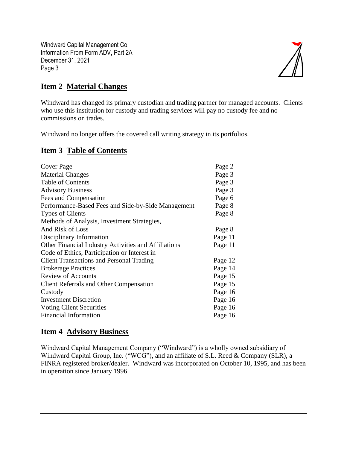

## **Item 2 Material Changes**

Windward has changed its primary custodian and trading partner for managed accounts. Clients who use this institution for custody and trading services will pay no custody fee and no commissions on trades.

Windward no longer offers the covered call writing strategy in its portfolios.

#### **Item 3 Table of Contents**

| Cover Page                                           | Page 2  |
|------------------------------------------------------|---------|
| <b>Material Changes</b>                              | Page 3  |
| <b>Table of Contents</b>                             | Page 3  |
| <b>Advisory Business</b>                             | Page 3  |
| Fees and Compensation                                | Page 6  |
| Performance-Based Fees and Side-by-Side Management   | Page 8  |
| <b>Types of Clients</b>                              | Page 8  |
| Methods of Analysis, Investment Strategies,          |         |
| And Risk of Loss                                     | Page 8  |
| Disciplinary Information                             | Page 11 |
| Other Financial Industry Activities and Affiliations | Page 11 |
| Code of Ethics, Participation or Interest in         |         |
| <b>Client Transactions and Personal Trading</b>      | Page 12 |
| <b>Brokerage Practices</b>                           | Page 14 |
| <b>Review of Accounts</b>                            | Page 15 |
| <b>Client Referrals and Other Compensation</b>       | Page 15 |
| Custody                                              | Page 16 |
| <b>Investment Discretion</b>                         | Page 16 |
| <b>Voting Client Securities</b>                      | Page 16 |
| Financial Information                                | Page 16 |

## **Item 4 Advisory Business**

Windward Capital Management Company ("Windward") is a wholly owned subsidiary of Windward Capital Group, Inc. ("WCG"), and an affiliate of S.L. Reed & Company (SLR), a FINRA registered broker/dealer. Windward was incorporated on October 10, 1995, and has been in operation since January 1996.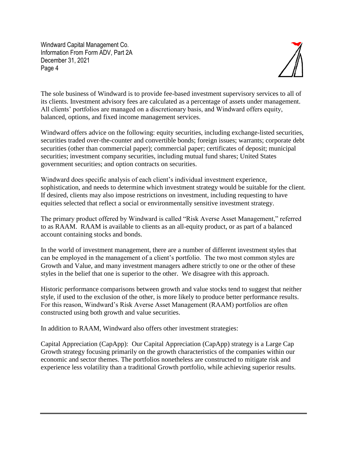

The sole business of Windward is to provide fee-based investment supervisory services to all of its clients. Investment advisory fees are calculated as a percentage of assets under management. All clients' portfolios are managed on a discretionary basis, and Windward offers equity, balanced, options, and fixed income management services.

Windward offers advice on the following: equity securities, including exchange-listed securities, securities traded over-the-counter and convertible bonds; foreign issues; warrants; corporate debt securities (other than commercial paper); commercial paper; certificates of deposit; municipal securities; investment company securities, including mutual fund shares; United States government securities; and option contracts on securities.

Windward does specific analysis of each client's individual investment experience, sophistication, and needs to determine which investment strategy would be suitable for the client. If desired, clients may also impose restrictions on investment, including requesting to have equities selected that reflect a social or environmentally sensitive investment strategy.

The primary product offered by Windward is called "Risk Averse Asset Management," referred to as RAAM. RAAM is available to clients as an all-equity product, or as part of a balanced account containing stocks and bonds.

In the world of investment management, there are a number of different investment styles that can be employed in the management of a client's portfolio. The two most common styles are Growth and Value, and many investment managers adhere strictly to one or the other of these styles in the belief that one is superior to the other. We disagree with this approach.

Historic performance comparisons between growth and value stocks tend to suggest that neither style, if used to the exclusion of the other, is more likely to produce better performance results. For this reason, Windward's Risk Averse Asset Management (RAAM) portfolios are often constructed using both growth and value securities.

In addition to RAAM, Windward also offers other investment strategies:

Capital Appreciation (CapApp): Our Capital Appreciation (CapApp) strategy is a Large Cap Growth strategy focusing primarily on the growth characteristics of the companies within our economic and sector themes. The portfolios nonetheless are constructed to mitigate risk and experience less volatility than a traditional Growth portfolio, while achieving superior results.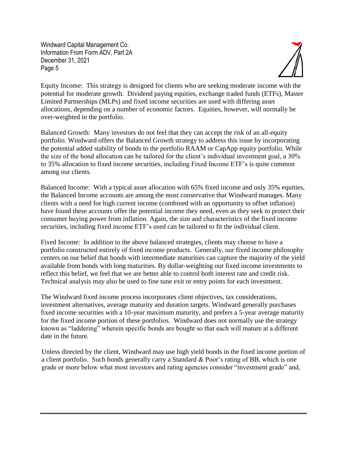

Equity Income: This strategy is designed for clients who are seeking moderate income with the potential for moderate growth. Dividend paying equities, exchange traded funds (ETFs), Master Limited Partnerships (MLPs) and fixed income securities are used with differing asset allocations, depending on a number of economic factors. Equities, however, will normally be over-weighted in the portfolio.

Balanced Growth: Many investors do not feel that they can accept the risk of an all-equity portfolio. Windward offers the Balanced Growth strategy to address this issue by incorporating the potential added stability of bonds to the portfolio RAAM or CapApp equity portfolio. While the size of the bond allocation can be tailored for the client's individual investment goal, a 30% to 35% allocation to fixed income securities, including Fixed Income ETF's is quite common among our clients.

Balanced Income: With a typical asset allocation with 65% fixed income and only 35% equities, the Balanced Income accounts are among the most conservative that Windward manages. Many clients with a need for high current income (combined with an opportunity to offset inflation) have found these accounts offer the potential income they need, even as they seek to protect their consumer buying power from inflation. Again, the size and characteristics of the fixed income securities, including fixed income ETF's used can be tailored to fit the individual client.

Fixed Income: In addition to the above balanced strategies, clients may choose to have a portfolio constructed entirely of fixed income products. Generally, our fixed income philosophy centers on our belief that bonds with intermediate maturities can capture the majority of the yield available from bonds with long maturities. By dollar-weighting our fixed income investments to reflect this belief, we feel that we are better able to control both interest rate and credit risk. Technical analysis may also be used to fine tune exit or entry points for each investment.

The Windward fixed income process incorporates client objectives, tax considerations, investment alternatives, average maturity and duration targets. Windward generally purchases fixed income securities with a 10-year maximum maturity, and prefers a 5-year average maturity for the fixed income portion of these portfolios. Windward does not normally use the strategy known as "laddering" wherein specific bonds are bought so that each will mature at a different date in the future.

Unless directed by the client, Windward may use high yield bonds in the fixed income portion of a client portfolio. Such bonds generally carry a Standard & Poor's rating of BB, which is one grade or more below what most investors and rating agencies consider "investment grade" and,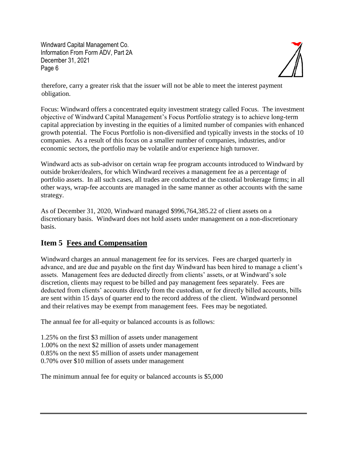

therefore, carry a greater risk that the issuer will not be able to meet the interest payment obligation.

Focus: Windward offers a concentrated equity investment strategy called Focus. The investment objective of Windward Capital Management's Focus Portfolio strategy is to achieve long-term capital appreciation by investing in the equities of a limited number of companies with enhanced growth potential. The Focus Portfolio is non-diversified and typically invests in the stocks of 10 companies. As a result of this focus on a smaller number of companies, industries, and/or economic sectors, the portfolio may be volatile and/or experience high turnover.

Windward acts as sub-advisor on certain wrap fee program accounts introduced to Windward by outside broker/dealers, for which Windward receives a management fee as a percentage of portfolio assets. In all such cases, all trades are conducted at the custodial brokerage firms; in all other ways, wrap-fee accounts are managed in the same manner as other accounts with the same strategy.

As of December 31, 2020, Windward managed \$996,764,385.22 of client assets on a discretionary basis. Windward does not hold assets under management on a non-discretionary basis.

#### **Item 5 Fees and Compensation**

Windward charges an annual management fee for its services. Fees are charged quarterly in advance, and are due and payable on the first day Windward has been hired to manage a client's assets. Management fees are deducted directly from clients' assets, or at Windward's sole discretion, clients may request to be billed and pay management fees separately. Fees are deducted from clients' accounts directly from the custodian, or for directly billed accounts, bills are sent within 15 days of quarter end to the record address of the client. Windward personnel and their relatives may be exempt from management fees. Fees may be negotiated.

The annual fee for all-equity or balanced accounts is as follows:

1.25% on the first \$3 million of assets under management 1.00% on the next \$2 million of assets under management 0.85% on the next \$5 million of assets under management 0.70% over \$10 million of assets under management

The minimum annual fee for equity or balanced accounts is \$5,000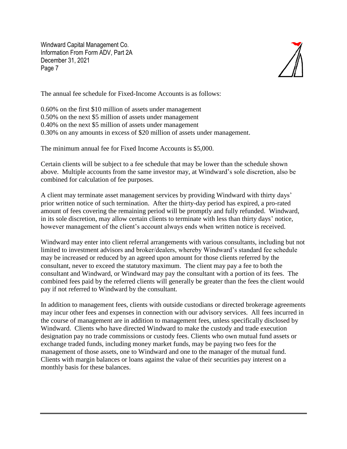

The annual fee schedule for Fixed-Income Accounts is as follows:

0.60% on the first \$10 million of assets under management 0.50% on the next \$5 million of assets under management 0.40% on the next \$5 million of assets under management 0.30% on any amounts in excess of \$20 million of assets under management.

The minimum annual fee for Fixed Income Accounts is \$5,000.

Certain clients will be subject to a fee schedule that may be lower than the schedule shown above. Multiple accounts from the same investor may, at Windward's sole discretion, also be combined for calculation of fee purposes.

A client may terminate asset management services by providing Windward with thirty days' prior written notice of such termination. After the thirty-day period has expired, a pro-rated amount of fees covering the remaining period will be promptly and fully refunded. Windward, in its sole discretion, may allow certain clients to terminate with less than thirty days' notice, however management of the client's account always ends when written notice is received.

Windward may enter into client referral arrangements with various consultants, including but not limited to investment advisors and broker/dealers, whereby Windward's standard fee schedule may be increased or reduced by an agreed upon amount for those clients referred by the consultant, never to exceed the statutory maximum. The client may pay a fee to both the consultant and Windward, or Windward may pay the consultant with a portion of its fees. The combined fees paid by the referred clients will generally be greater than the fees the client would pay if not referred to Windward by the consultant.

In addition to management fees, clients with outside custodians or directed brokerage agreements may incur other fees and expenses in connection with our advisory services. All fees incurred in the course of management are in addition to management fees, unless specifically disclosed by Windward. Clients who have directed Windward to make the custody and trade execution designation pay no trade commissions or custody fees. Clients who own mutual fund assets or exchange traded funds, including money market funds, may be paying two fees for the management of those assets, one to Windward and one to the manager of the mutual fund. Clients with margin balances or loans against the value of their securities pay interest on a monthly basis for these balances.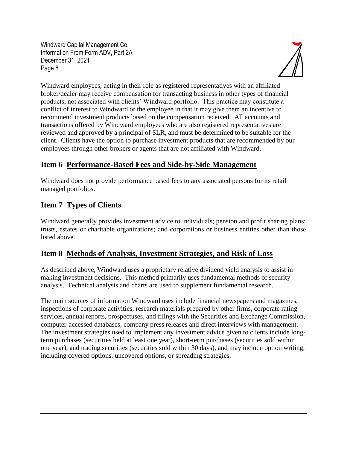

Windward employees, acting in their role as registered representatives with an affiliated broker/dealer may receive compensation for transacting business in other types of financial products, not associated with clients' Windward portfolio. This practice may constitute a conflict of interest to Windward or the employee in that it may give them an incentive to recommend investment products based on the compensation received. All accounts and transactions offered by Windward employees who are also registered representatives are reviewed and approved by a principal of SLR, and must be determined to be suitable for the client. Clients have the option to purchase investment products that are recommended by our employees through other brokers or agents that are not affiliated with Windward.

## **Item 6 Performance-Based Fees and Side-by-Side Management**

Windward does not provide performance based fees to any associated persons for its retail managed portfolios.

# **Item 7 Types of Clients**

Windward generally provides investment advice to individuals; pension and profit sharing plans; trusts, estates or charitable organizations; and corporations or business entities other than those listed above.

## **Item 8 Methods of Analysis, Investment Strategies, and Risk of Loss**

As described above, Windward uses a proprietary relative dividend yield analysis to assist in making investment decisions. This method primarily uses fundamental methods of security analysis. Technical analysis and charts are used to supplement fundamental research.

The main sources of information Windward uses include financial newspapers and magazines, inspections of corporate activities, research materials prepared by other firms, corporate rating services, annual reports, prospectuses, and filings with the Securities and Exchange Commission, computer-accessed databases, company press releases and direct interviews with management. The investment strategies used to implement any investment advice given to clients include longterm purchases (securities held at least one year), short-term purchases (securities sold within one year), and trading securities (securities sold within 30 days), and may include option writing, including covered options, uncovered options, or spreading strategies.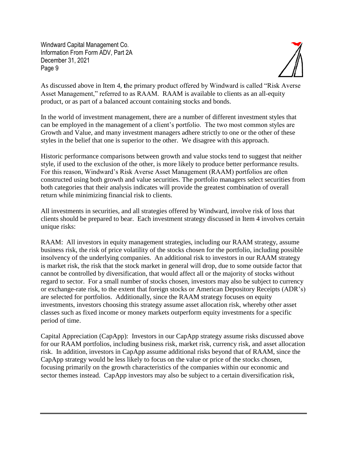

As discussed above in Item 4, **t**he primary product offered by Windward is called "Risk Averse Asset Management," referred to as RAAM. RAAM is available to clients as an all-equity product, or as part of a balanced account containing stocks and bonds.

In the world of investment management, there are a number of different investment styles that can be employed in the management of a client's portfolio. The two most common styles are Growth and Value, and many investment managers adhere strictly to one or the other of these styles in the belief that one is superior to the other. We disagree with this approach.

Historic performance comparisons between growth and value stocks tend to suggest that neither style, if used to the exclusion of the other, is more likely to produce better performance results. For this reason, Windward's Risk Averse Asset Management (RAAM) portfolios are often constructed using both growth and value securities. The portfolio managers select securities from both categories that their analysis indicates will provide the greatest combination of overall return while minimizing financial risk to clients.

All investments in securities, and all strategies offered by Windward, involve risk of loss that clients should be prepared to bear. Each investment strategy discussed in Item 4 involves certain unique risks:

RAAM: All investors in equity management strategies, including our RAAM strategy, assume business risk, the risk of price volatility of the stocks chosen for the portfolio, including possible insolvency of the underlying companies. An additional risk to investors in our RAAM strategy is market risk, the risk that the stock market in general will drop, due to some outside factor that cannot be controlled by diversification, that would affect all or the majority of stocks without regard to sector. For a small number of stocks chosen, investors may also be subject to currency or exchange-rate risk, to the extent that foreign stocks or American Depository Receipts (ADR's) are selected for portfolios. Additionally, since the RAAM strategy focuses on equity investments, investors choosing this strategy assume asset allocation risk, whereby other asset classes such as fixed income or money markets outperform equity investments for a specific period of time.

Capital Appreciation (CapApp): Investors in our CapApp strategy assume risks discussed above for our RAAM portfolios, including business risk, market risk, currency risk, and asset allocation risk. In addition, investors in CapApp assume additional risks beyond that of RAAM, since the CapApp strategy would be less likely to focus on the value or price of the stocks chosen, focusing primarily on the growth characteristics of the companies within our economic and sector themes instead. CapApp investors may also be subject to a certain diversification risk,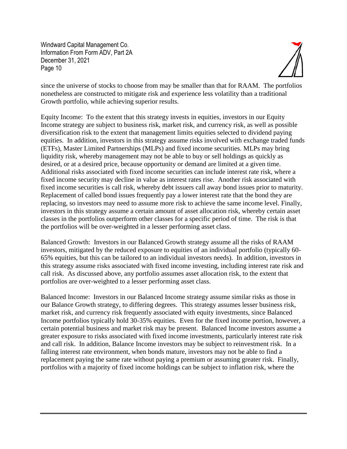

since the universe of stocks to choose from may be smaller than that for RAAM. The portfolios nonetheless are constructed to mitigate risk and experience less volatility than a traditional Growth portfolio, while achieving superior results.

Equity Income: To the extent that this strategy invests in equities, investors in our Equity Income strategy are subject to business risk, market risk, and currency risk, as well as possible diversification risk to the extent that management limits equities selected to dividend paying equities. In addition, investors in this strategy assume risks involved with exchange traded funds (ETFs), Master Limited Partnerships (MLPs) and fixed income securities. MLPs may bring liquidity risk, whereby management may not be able to buy or sell holdings as quickly as desired, or at a desired price, because opportunity or demand are limited at a given time. Additional risks associated with fixed income securities can include interest rate risk, where a fixed income security may decline in value as interest rates rise. Another risk associated with fixed income securities is call risk, whereby debt issuers call away bond issues prior to maturity. Replacement of called bond issues frequently pay a lower interest rate that the bond they are replacing, so investors may need to assume more risk to achieve the same income level. Finally, investors in this strategy assume a certain amount of asset allocation risk, whereby certain asset classes in the portfolios outperform other classes for a specific period of time. The risk is that the portfolios will be over-weighted in a lesser performing asset class.

Balanced Growth: Investors in our Balanced Growth strategy assume all the risks of RAAM investors, mitigated by the reduced exposure to equities of an individual portfolio (typically 60- 65% equities, but this can be tailored to an individual investors needs). In addition, investors in this strategy assume risks associated with fixed income investing, including interest rate risk and call risk. As discussed above, any portfolio assumes asset allocation risk, to the extent that portfolios are over-weighted to a lesser performing asset class.

Balanced Income: Investors in our Balanced Income strategy assume similar risks as those in our Balance Growth strategy, to differing degrees. This strategy assumes lesser business risk, market risk, and currency risk frequently associated with equity investments, since Balanced Income portfolios typically hold 30-35% equities. Even for the fixed income portion, however, a certain potential business and market risk may be present. Balanced Income investors assume a greater exposure to risks associated with fixed income investments, particularly interest rate risk and call risk. In addition, Balance Income investors may be subject to reinvestment risk. In a falling interest rate environment, when bonds mature, investors may not be able to find a replacement paying the same rate without paying a premium or assuming greater risk. Finally, portfolios with a majority of fixed income holdings can be subject to inflation risk, where the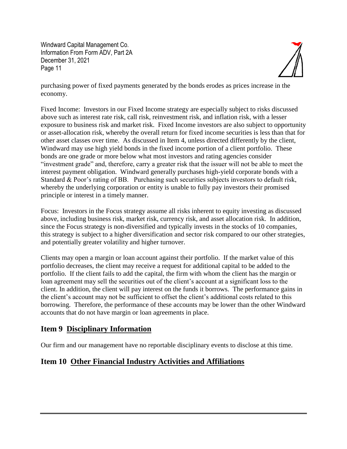

purchasing power of fixed payments generated by the bonds erodes as prices increase in the economy.

Fixed Income: Investors in our Fixed Income strategy are especially subject to risks discussed above such as interest rate risk, call risk, reinvestment risk, and inflation risk, with a lesser exposure to business risk and market risk. Fixed Income investors are also subject to opportunity or asset-allocation risk, whereby the overall return for fixed income securities is less than that for other asset classes over time. As discussed in Item 4, unless directed differently by the client, Windward may use high yield bonds in the fixed income portion of a client portfolio. These bonds are one grade or more below what most investors and rating agencies consider "investment grade" and, therefore, carry a greater risk that the issuer will not be able to meet the interest payment obligation. Windward generally purchases high-yield corporate bonds with a Standard & Poor's rating of BB. Purchasing such securities subjects investors to default risk, whereby the underlying corporation or entity is unable to fully pay investors their promised principle or interest in a timely manner.

Focus: Investors in the Focus strategy assume all risks inherent to equity investing as discussed above, including business risk, market risk, currency risk, and asset allocation risk. In addition, since the Focus strategy is non-diversified and typically invests in the stocks of 10 companies, this strategy is subject to a higher diversification and sector risk compared to our other strategies, and potentially greater volatility and higher turnover.

Clients may open a margin or loan account against their portfolio. If the market value of this portfolio decreases, the client may receive a request for additional capital to be added to the portfolio. If the client fails to add the capital, the firm with whom the client has the margin or loan agreement may sell the securities out of the client's account at a significant loss to the client. In addition, the client will pay interest on the funds it borrows. The performance gains in the client's account may not be sufficient to offset the client's additional costs related to this borrowing. Therefore, the performance of these accounts may be lower than the other Windward accounts that do not have margin or loan agreements in place.

#### **Item 9 Disciplinary Information**

Our firm and our management have no reportable disciplinary events to disclose at this time.

## **Item 10 Other Financial Industry Activities and Affiliations**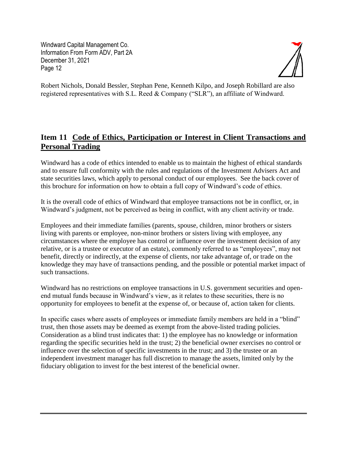

Robert Nichols, Donald Bessler, Stephan Pene, Kenneth Kilpo, and Joseph Robillard are also registered representatives with S.L. Reed & Company ("SLR"), an affiliate of Windward.

## **Item 11 Code of Ethics, Participation or Interest in Client Transactions and Personal Trading**

Windward has a code of ethics intended to enable us to maintain the highest of ethical standards and to ensure full conformity with the rules and regulations of the Investment Advisers Act and state securities laws, which apply to personal conduct of our employees. See the back cover of this brochure for information on how to obtain a full copy of Windward's code of ethics.

It is the overall code of ethics of Windward that employee transactions not be in conflict, or, in Windward's judgment, not be perceived as being in conflict, with any client activity or trade.

Employees and their immediate families (parents, spouse, children, minor brothers or sisters living with parents or employee, non-minor brothers or sisters living with employee, any circumstances where the employee has control or influence over the investment decision of any relative, or is a trustee or executor of an estate), commonly referred to as "employees", may not benefit, directly or indirectly, at the expense of clients, nor take advantage of, or trade on the knowledge they may have of transactions pending, and the possible or potential market impact of such transactions.

Windward has no restrictions on employee transactions in U.S. government securities and openend mutual funds because in Windward's view, as it relates to these securities, there is no opportunity for employees to benefit at the expense of, or because of, action taken for clients.

In specific cases where assets of employees or immediate family members are held in a "blind" trust, then those assets may be deemed as exempt from the above-listed trading policies. Consideration as a blind trust indicates that: 1) the employee has no knowledge or information regarding the specific securities held in the trust; 2) the beneficial owner exercises no control or influence over the selection of specific investments in the trust; and 3) the trustee or an independent investment manager has full discretion to manage the assets, limited only by the fiduciary obligation to invest for the best interest of the beneficial owner.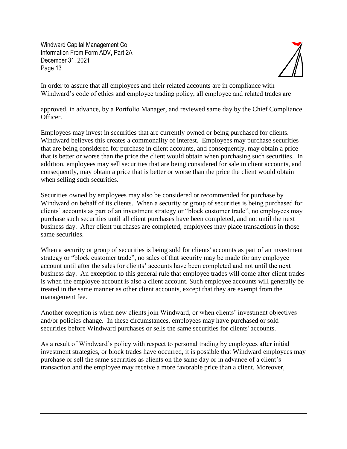

In order to assure that all employees and their related accounts are in compliance with Windward's code of ethics and employee trading policy, all employee and related trades are

approved, in advance, by a Portfolio Manager, and reviewed same day by the Chief Compliance Officer.

Employees may invest in securities that are currently owned or being purchased for clients. Windward believes this creates a commonality of interest. Employees may purchase securities that are being considered for purchase in client accounts, and consequently, may obtain a price that is better or worse than the price the client would obtain when purchasing such securities. In addition, employees may sell securities that are being considered for sale in client accounts, and consequently, may obtain a price that is better or worse than the price the client would obtain when selling such securities.

Securities owned by employees may also be considered or recommended for purchase by Windward on behalf of its clients. When a security or group of securities is being purchased for clients' accounts as part of an investment strategy or "block customer trade", no employees may purchase such securities until all client purchases have been completed, and not until the next business day. After client purchases are completed, employees may place transactions in those same securities.

When a security or group of securities is being sold for clients' accounts as part of an investment strategy or "block customer trade", no sales of that security may be made for any employee account until after the sales for clients' accounts have been completed and not until the next business day. An exception to this general rule that employee trades will come after client trades is when the employee account is also a client account. Such employee accounts will generally be treated in the same manner as other client accounts, except that they are exempt from the management fee.

Another exception is when new clients join Windward, or when clients' investment objectives and/or policies change. In these circumstances, employees may have purchased or sold securities before Windward purchases or sells the same securities for clients' accounts.

As a result of Windward's policy with respect to personal trading by employees after initial investment strategies, or block trades have occurred, it is possible that Windward employees may purchase or sell the same securities as clients on the same day or in advance of a client's transaction and the employee may receive a more favorable price than a client. Moreover,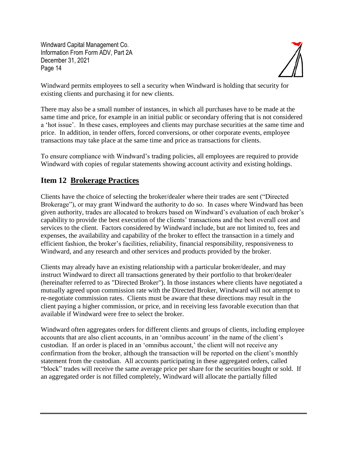

Windward permits employees to sell a security when Windward is holding that security for existing clients and purchasing it for new clients.

There may also be a small number of instances, in which all purchases have to be made at the same time and price, for example in an initial public or secondary offering that is not considered a 'hot issue'. In these cases, employees and clients may purchase securities at the same time and price. In addition, in tender offers, forced conversions, or other corporate events, employee transactions may take place at the same time and price as transactions for clients.

To ensure compliance with Windward's trading policies, all employees are required to provide Windward with copies of regular statements showing account activity and existing holdings.

## **Item 12 Brokerage Practices**

Clients have the choice of selecting the broker/dealer where their trades are sent ("Directed Brokerage"), or may grant Windward the authority to do so. In cases where Windward has been given authority, trades are allocated to brokers based on Windward's evaluation of each broker's capability to provide the best execution of the clients' transactions and the best overall cost and services to the client. Factors considered by Windward include, but are not limited to, fees and expenses, the availability and capability of the broker to effect the transaction in a timely and efficient fashion, the broker's facilities, reliability, financial responsibility, responsiveness to Windward, and any research and other services and products provided by the broker.

Clients may already have an existing relationship with a particular broker/dealer, and may instruct Windward to direct all transactions generated by their portfolio to that broker/dealer (hereinafter referred to as "Directed Broker"). In those instances where clients have negotiated a mutually agreed upon commission rate with the Directed Broker, Windward will not attempt to re-negotiate commission rates. Clients must be aware that these directions may result in the client paying a higher commission, or price, and in receiving less favorable execution than that available if Windward were free to select the broker.

Windward often aggregates orders for different clients and groups of clients, including employee accounts that are also client accounts, in an 'omnibus account' in the name of the client's custodian. If an order is placed in an 'omnibus account,' the client will not receive any confirmation from the broker, although the transaction will be reported on the client's monthly statement from the custodian. All accounts participating in these aggregated orders, called "block" trades will receive the same average price per share for the securities bought or sold. If an aggregated order is not filled completely, Windward will allocate the partially filled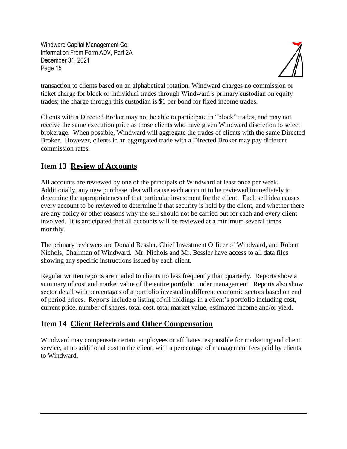

transaction to clients based on an alphabetical rotation. Windward charges no commission or ticket charge for block or individual trades through Windward's primary custodian on equity trades; the charge through this custodian is \$1 per bond for fixed income trades.

Clients with a Directed Broker may not be able to participate in "block" trades, and may not receive the same execution price as those clients who have given Windward discretion to select brokerage. When possible, Windward will aggregate the trades of clients with the same Directed Broker. However, clients in an aggregated trade with a Directed Broker may pay different commission rates.

## **Item 13 Review of Accounts**

All accounts are reviewed by one of the principals of Windward at least once per week. Additionally, any new purchase idea will cause each account to be reviewed immediately to determine the appropriateness of that particular investment for the client. Each sell idea causes every account to be reviewed to determine if that security is held by the client, and whether there are any policy or other reasons why the sell should not be carried out for each and every client involved. It is anticipated that all accounts will be reviewed at a minimum several times monthly.

The primary reviewers are Donald Bessler, Chief Investment Officer of Windward, and Robert Nichols, Chairman of Windward. Mr. Nichols and Mr. Bessler have access to all data files showing any specific instructions issued by each client.

Regular written reports are mailed to clients no less frequently than quarterly. Reports show a summary of cost and market value of the entire portfolio under management. Reports also show sector detail with percentages of a portfolio invested in different economic sectors based on end of period prices. Reports include a listing of all holdings in a client's portfolio including cost, current price, number of shares, total cost, total market value, estimated income and/or yield.

## **Item 14 Client Referrals and Other Compensation**

Windward may compensate certain employees or affiliates responsible for marketing and client service, at no additional cost to the client, with a percentage of management fees paid by clients to Windward.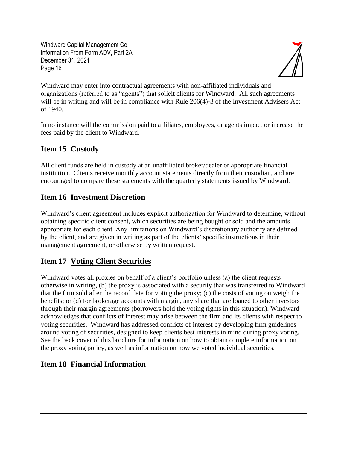

Windward may enter into contractual agreements with non-affiliated individuals and organizations (referred to as "agents") that solicit clients for Windward. All such agreements will be in writing and will be in compliance with Rule 206(4)-3 of the Investment Advisers Act of 1940.

In no instance will the commission paid to affiliates, employees, or agents impact or increase the fees paid by the client to Windward.

# **Item 15 Custody**

All client funds are held in custody at an unaffiliated broker/dealer or appropriate financial institution. Clients receive monthly account statements directly from their custodian, and are encouraged to compare these statements with the quarterly statements issued by Windward.

# **Item 16 Investment Discretion**

Windward's client agreement includes explicit authorization for Windward to determine, without obtaining specific client consent, which securities are being bought or sold and the amounts appropriate for each client. Any limitations on Windward's discretionary authority are defined by the client, and are given in writing as part of the clients' specific instructions in their management agreement, or otherwise by written request.

# **Item 17 Voting Client Securities**

Windward votes all proxies on behalf of a client's portfolio unless (a) the client requests otherwise in writing, (b) the proxy is associated with a security that was transferred to Windward that the firm sold after the record date for voting the proxy; (c) the costs of voting outweigh the benefits; or (d) for brokerage accounts with margin, any share that are loaned to other investors through their margin agreements (borrowers hold the voting rights in this situation). Windward acknowledges that conflicts of interest may arise between the firm and its clients with respect to voting securities. Windward has addressed conflicts of interest by developing firm guidelines around voting of securities, designed to keep clients best interests in mind during proxy voting. See the back cover of this brochure for information on how to obtain complete information on the proxy voting policy, as well as information on how we voted individual securities.

# **Item 18 Financial Information**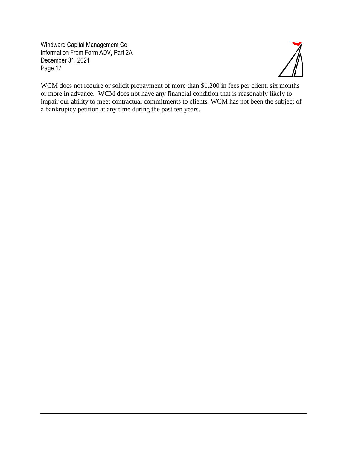

WCM does not require or solicit prepayment of more than \$1,200 in fees per client, six months or more in advance. WCM does not have any financial condition that is reasonably likely to impair our ability to meet contractual commitments to clients. WCM has not been the subject of a bankruptcy petition at any time during the past ten years.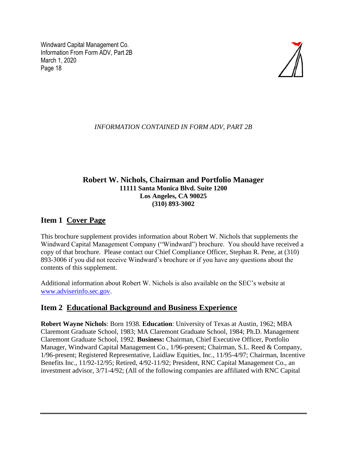

#### *INFORMATION CONTAINED IN FORM ADV, PART 2B*

#### **Robert W. Nichols, Chairman and Portfolio Manager 11111 Santa Monica Blvd. Suite 1200 Los Angeles, CA 90025 (310) 893-3002**

#### **Item 1 Cover Page**

This brochure supplement provides information about Robert W. Nichols that supplements the Windward Capital Management Company ("Windward") brochure. You should have received a copy of that brochure. Please contact our Chief Compliance Officer, Stephan R. Pene, at (310) 893-3006 if you did not receive Windward's brochure or if you have any questions about the contents of this supplement.

Additional information about Robert W. Nichols is also available on the SEC's website at [www.adviserinfo.sec.gov.](http://www.adviserinfo.sec.gov/)

#### **Item 2 Educational Background and Business Experience**

**Robert Wayne Nichols**: Born 1938. **Education**: University of Texas at Austin, 1962; MBA Claremont Graduate School, 1983; MA Claremont Graduate School, 1984; Ph.D. Management Claremont Graduate School, 1992. **Business:** Chairman, Chief Executive Officer, Portfolio Manager, Windward Capital Management Co., 1/96-present; Chairman, S.L. Reed & Company, 1/96-present; Registered Representative, Laidlaw Equities, Inc., 11/95-4/97; Chairman, Incentive Benefits Inc., 11/92-12/95; Retired, 4/92-11/92; President, RNC Capital Management Co., an investment advisor, 3/71-4/92; (All of the following companies are affiliated with RNC Capital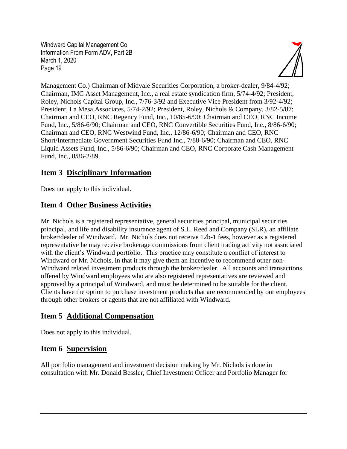

Management Co.) Chairman of Midvale Securities Corporation, a broker-dealer, 9/84-4/92; Chairman, IMC Asset Management, Inc., a real estate syndication firm, 5/74-4/92; President, Roley, Nichols Capital Group, Inc., 7/76-3/92 and Executive Vice President from 3/92-4/92; President, La Mesa Associates, 5/74-2/92; President, Roley, Nichols & Company, 3/82-5/87; Chairman and CEO, RNC Regency Fund, Inc., 10/85-6/90; Chairman and CEO, RNC Income Fund, Inc., 5/86-6/90; Chairman and CEO, RNC Convertible Securities Fund, Inc., 8/86-6/90; Chairman and CEO, RNC Westwind Fund, Inc., 12/86-6/90; Chairman and CEO, RNC Short/Intermediate Government Securities Fund Inc., 7/88-6/90; Chairman and CEO, RNC Liquid Assets Fund, Inc., 5/86-6/90; Chairman and CEO, RNC Corporate Cash Management Fund, Inc., 8/86-2/89.

## **Item 3 Disciplinary Information**

Does not apply to this individual.

# **Item 4 Other Business Activities**

Mr. Nichols is a registered representative, general securities principal, municipal securities principal, and life and disability insurance agent of S.L. Reed and Company (SLR), an affiliate broker/dealer of Windward. Mr. Nichols does not receive 12b-1 fees, however as a registered representative he may receive brokerage commissions from client trading activity not associated with the client's Windward portfolio. This practice may constitute a conflict of interest to Windward or Mr. Nichols, in that it may give them an incentive to recommend other non-Windward related investment products through the broker/dealer. All accounts and transactions offered by Windward employees who are also registered representatives are reviewed and approved by a principal of Windward, and must be determined to be suitable for the client. Clients have the option to purchase investment products that are recommended by our employees through other brokers or agents that are not affiliated with Windward.

# **Item 5 Additional Compensation**

Does not apply to this individual.

# **Item 6 Supervision**

All portfolio management and investment decision making by Mr. Nichols is done in consultation with Mr. Donald Bessler, Chief Investment Officer and Portfolio Manager for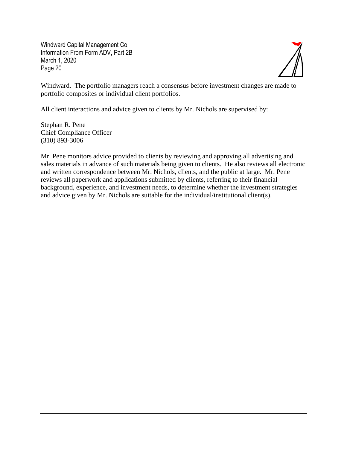

Windward. The portfolio managers reach a consensus before investment changes are made to portfolio composites or individual client portfolios.

All client interactions and advice given to clients by Mr. Nichols are supervised by:

Stephan R. Pene Chief Compliance Officer (310) 893-3006

Mr. Pene monitors advice provided to clients by reviewing and approving all advertising and sales materials in advance of such materials being given to clients. He also reviews all electronic and written correspondence between Mr. Nichols, clients, and the public at large. Mr. Pene reviews all paperwork and applications submitted by clients, referring to their financial background, experience, and investment needs, to determine whether the investment strategies and advice given by Mr. Nichols are suitable for the individual/institutional client(s).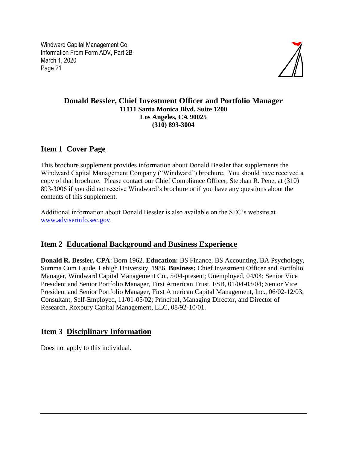

#### **Donald Bessler, Chief Investment Officer and Portfolio Manager 11111 Santa Monica Blvd. Suite 1200 Los Angeles, CA 90025 (310) 893-3004**

## **Item 1 Cover Page**

This brochure supplement provides information about Donald Bessler that supplements the Windward Capital Management Company ("Windward") brochure. You should have received a copy of that brochure. Please contact our Chief Compliance Officer, Stephan R. Pene, at (310) 893-3006 if you did not receive Windward's brochure or if you have any questions about the contents of this supplement.

Additional information about Donald Bessler is also available on the SEC's website at [www.adviserinfo.sec.gov.](http://www.adviserinfo.sec.gov/)

## **Item 2 Educational Background and Business Experience**

**Donald R. Bessler, CPA**: Born 1962. **Education:** BS Finance, BS Accounting, BA Psychology, Summa Cum Laude, Lehigh University, 1986. **Business:** Chief Investment Officer and Portfolio Manager, Windward Capital Management Co., 5/04-present; Unemployed, 04/04; Senior Vice President and Senior Portfolio Manager, First American Trust, FSB, 01/04-03/04; Senior Vice President and Senior Portfolio Manager, First American Capital Management, Inc., 06/02-12/03; Consultant, Self-Employed, 11/01-05/02; Principal, Managing Director, and Director of Research, Roxbury Capital Management, LLC, 08/92-10/01.

# **Item 3 Disciplinary Information**

Does not apply to this individual.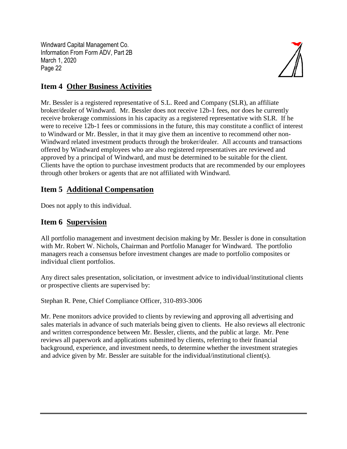

## **Item 4 Other Business Activities**

Mr. Bessler is a registered representative of S.L. Reed and Company (SLR), an affiliate broker/dealer of Windward. Mr. Bessler does not receive 12b-1 fees, nor does he currently receive brokerage commissions in his capacity as a registered representative with SLR. If he were to receive 12b-1 fees or commissions in the future, this may constitute a conflict of interest to Windward or Mr. Bessler, in that it may give them an incentive to recommend other non-Windward related investment products through the broker/dealer. All accounts and transactions offered by Windward employees who are also registered representatives are reviewed and approved by a principal of Windward, and must be determined to be suitable for the client. Clients have the option to purchase investment products that are recommended by our employees through other brokers or agents that are not affiliated with Windward.

## **Item 5 Additional Compensation**

Does not apply to this individual.

## **Item 6 Supervision**

All portfolio management and investment decision making by Mr. Bessler is done in consultation with Mr. Robert W. Nichols, Chairman and Portfolio Manager for Windward. The portfolio managers reach a consensus before investment changes are made to portfolio composites or individual client portfolios.

Any direct sales presentation, solicitation, or investment advice to individual/institutional clients or prospective clients are supervised by:

Stephan R. Pene, Chief Compliance Officer, 310-893-3006

Mr. Pene monitors advice provided to clients by reviewing and approving all advertising and sales materials in advance of such materials being given to clients. He also reviews all electronic and written correspondence between Mr. Bessler, clients, and the public at large. Mr. Pene reviews all paperwork and applications submitted by clients, referring to their financial background, experience, and investment needs, to determine whether the investment strategies and advice given by Mr. Bessler are suitable for the individual/institutional client(s).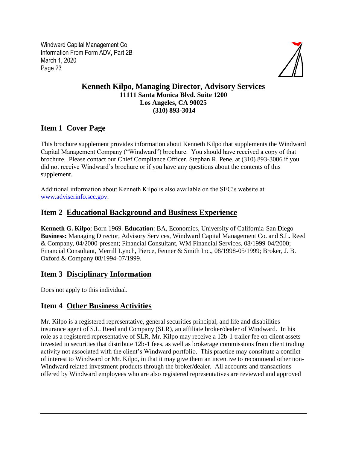

#### **Kenneth Kilpo, Managing Director, Advisory Services 11111 Santa Monica Blvd. Suite 1200 Los Angeles, CA 90025 (310) 893-3014**

## **Item 1 Cover Page**

This brochure supplement provides information about Kenneth Kilpo that supplements the Windward Capital Management Company ("Windward") brochure. You should have received a copy of that brochure. Please contact our Chief Compliance Officer, Stephan R. Pene, at (310) 893-3006 if you did not receive Windward's brochure or if you have any questions about the contents of this supplement.

Additional information about Kenneth Kilpo is also available on the SEC's website at [www.adviserinfo.sec.gov.](http://www.adviserinfo.sec.gov/)

## **Item 2 Educational Background and Business Experience**

**Kenneth G. Kilpo**: Born 1969. **Education**: BA, Economics, University of California-San Diego **Business:** Managing Director, Advisory Services, Windward Capital Management Co. and S.L. Reed & Company, 04/2000-present; Financial Consultant, WM Financial Services, 08/1999-04/2000; Financial Consultant, Merrill Lynch, Pierce, Fenner & Smith Inc., 08/1998-05/1999; Broker, J. B. Oxford & Company 08/1994-07/1999.

#### **Item 3 Disciplinary Information**

Does not apply to this individual.

## **Item 4 Other Business Activities**

Mr. Kilpo is a registered representative, general securities principal, and life and disabilities insurance agent of S.L. Reed and Company (SLR), an affiliate broker/dealer of Windward. In his role as a registered representative of SLR, Mr. Kilpo may receive a 12b-1 trailer fee on client assets invested in securities that distribute 12b-1 fees, as well as brokerage commissions from client trading activity not associated with the client's Windward portfolio. This practice may constitute a conflict of interest to Windward or Mr. Kilpo, in that it may give them an incentive to recommend other non-Windward related investment products through the broker/dealer. All accounts and transactions offered by Windward employees who are also registered representatives are reviewed and approved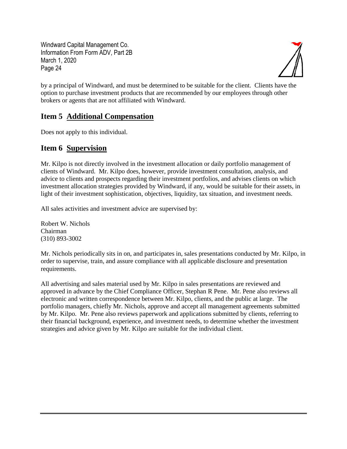

by a principal of Windward, and must be determined to be suitable for the client. Clients have the option to purchase investment products that are recommended by our employees through other brokers or agents that are not affiliated with Windward.

## **Item 5 Additional Compensation**

Does not apply to this individual.

#### **Item 6 Supervision**

Mr. Kilpo is not directly involved in the investment allocation or daily portfolio management of clients of Windward. Mr. Kilpo does, however, provide investment consultation, analysis, and advice to clients and prospects regarding their investment portfolios, and advises clients on which investment allocation strategies provided by Windward, if any, would be suitable for their assets, in light of their investment sophistication, objectives, liquidity, tax situation, and investment needs.

All sales activities and investment advice are supervised by:

Robert W. Nichols Chairman (310) 893-3002

Mr. Nichols periodically sits in on, and participates in, sales presentations conducted by Mr. Kilpo, in order to supervise, train, and assure compliance with all applicable disclosure and presentation requirements.

All advertising and sales material used by Mr. Kilpo in sales presentations are reviewed and approved in advance by the Chief Compliance Officer, Stephan R Pene. Mr. Pene also reviews all electronic and written correspondence between Mr. Kilpo, clients, and the public at large. The portfolio managers, chiefly Mr. Nichols, approve and accept all management agreements submitted by Mr. Kilpo. Mr. Pene also reviews paperwork and applications submitted by clients, referring to their financial background, experience, and investment needs, to determine whether the investment strategies and advice given by Mr. Kilpo are suitable for the individual client.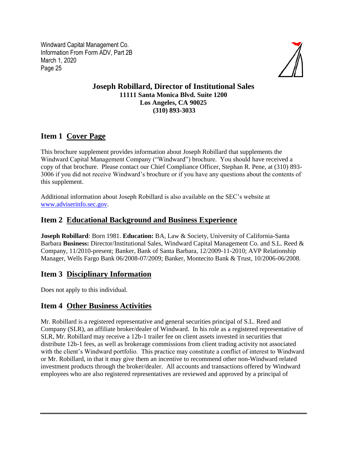

#### **Joseph Robillard, Director of Institutional Sales 11111 Santa Monica Blvd. Suite 1200 Los Angeles, CA 90025 (310) 893-3033**

## **Item 1 Cover Page**

This brochure supplement provides information about Joseph Robillard that supplements the Windward Capital Management Company ("Windward") brochure. You should have received a copy of that brochure. Please contact our Chief Compliance Officer, Stephan R. Pene, at (310) 893- 3006 if you did not receive Windward's brochure or if you have any questions about the contents of this supplement.

Additional information about Joseph Robillard is also available on the SEC's website at [www.adviserinfo.sec.gov.](http://www.adviserinfo.sec.gov/)

#### **Item 2 Educational Background and Business Experience**

**Joseph Robillard**: Born 1981. **Education:** BA, Law & Society, University of California-Santa Barbara **Business:** Director/Institutional Sales, Windward Capital Management Co. and S.L. Reed & Company, 11/2010-present; Banker, Bank of Santa Barbara, 12/2009-11-2010; AVP Relationship Manager, Wells Fargo Bank 06/2008-07/2009; Banker, Montecito Bank & Trust, 10/2006-06/2008.

#### **Item 3 Disciplinary Information**

Does not apply to this individual.

## **Item 4 Other Business Activities**

Mr. Robillard is a registered representative and general securities principal of S.L. Reed and Company (SLR), an affiliate broker/dealer of Windward. In his role as a registered representative of SLR, Mr. Robillard may receive a 12b-1 trailer fee on client assets invested in securities that distribute 12b-1 fees, as well as brokerage commissions from client trading activity not associated with the client's Windward portfolio. This practice may constitute a conflict of interest to Windward or Mr. Robillard, in that it may give them an incentive to recommend other non-Windward related investment products through the broker/dealer. All accounts and transactions offered by Windward employees who are also registered representatives are reviewed and approved by a principal of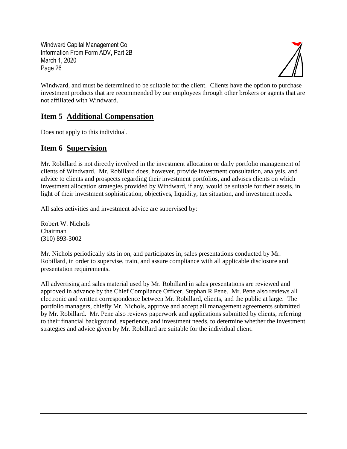

Windward, and must be determined to be suitable for the client. Clients have the option to purchase investment products that are recommended by our employees through other brokers or agents that are not affiliated with Windward.

## **Item 5 Additional Compensation**

Does not apply to this individual.

#### **Item 6 Supervision**

Mr. Robillard is not directly involved in the investment allocation or daily portfolio management of clients of Windward. Mr. Robillard does, however, provide investment consultation, analysis, and advice to clients and prospects regarding their investment portfolios, and advises clients on which investment allocation strategies provided by Windward, if any, would be suitable for their assets, in light of their investment sophistication, objectives, liquidity, tax situation, and investment needs.

All sales activities and investment advice are supervised by:

Robert W. Nichols Chairman (310) 893-3002

Mr. Nichols periodically sits in on, and participates in, sales presentations conducted by Mr. Robillard, in order to supervise, train, and assure compliance with all applicable disclosure and presentation requirements.

All advertising and sales material used by Mr. Robillard in sales presentations are reviewed and approved in advance by the Chief Compliance Officer, Stephan R Pene. Mr. Pene also reviews all electronic and written correspondence between Mr. Robillard, clients, and the public at large. The portfolio managers, chiefly Mr. Nichols, approve and accept all management agreements submitted by Mr. Robillard. Mr. Pene also reviews paperwork and applications submitted by clients, referring to their financial background, experience, and investment needs, to determine whether the investment strategies and advice given by Mr. Robillard are suitable for the individual client.